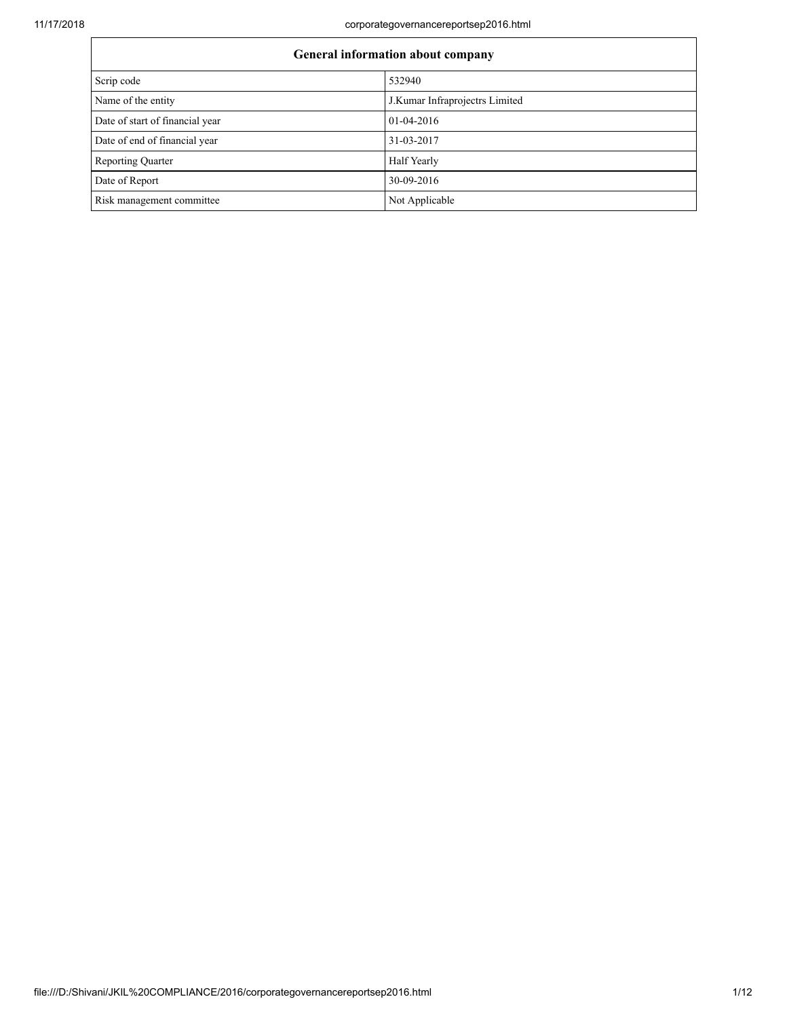| General information about company |                                |  |
|-----------------------------------|--------------------------------|--|
| Scrip code                        | 532940                         |  |
| Name of the entity                | J.Kumar Infraprojectrs Limited |  |
| Date of start of financial year   | 01-04-2016                     |  |
| Date of end of financial year     | 31-03-2017                     |  |
| <b>Reporting Quarter</b>          | Half Yearly                    |  |
| Date of Report                    | 30-09-2016                     |  |
| Risk management committee         | Not Applicable                 |  |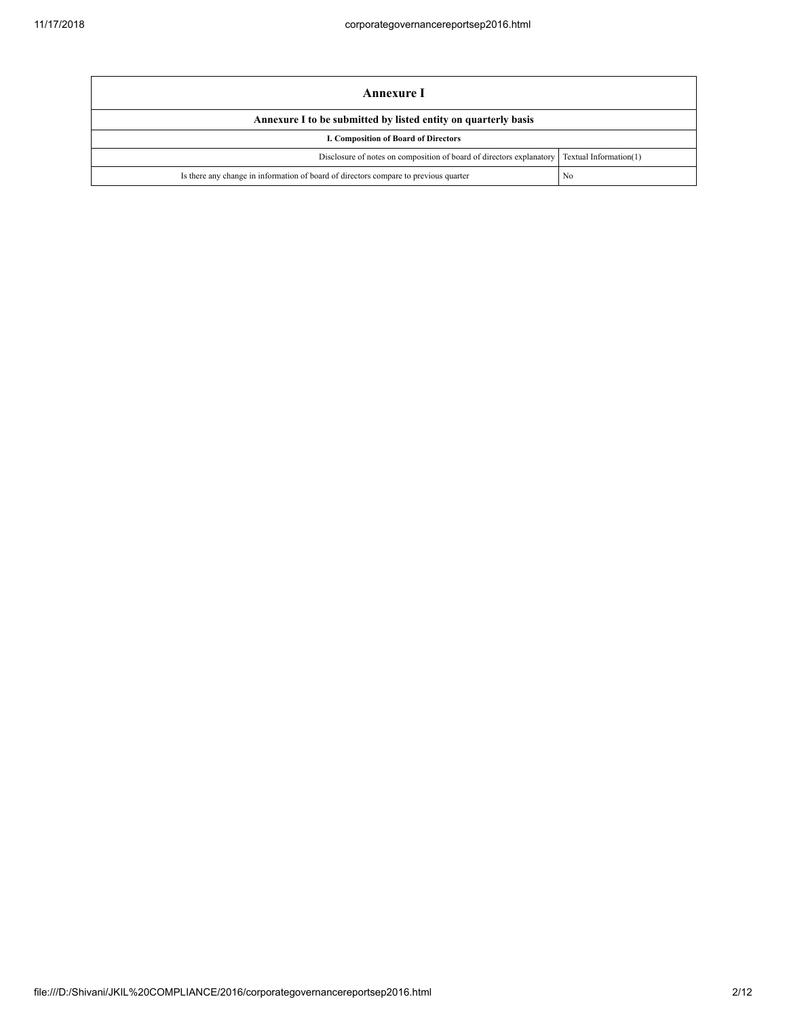| Annexure I                                                                           |                        |  |
|--------------------------------------------------------------------------------------|------------------------|--|
| Annexure I to be submitted by listed entity on quarterly basis                       |                        |  |
| I. Composition of Board of Directors                                                 |                        |  |
| Disclosure of notes on composition of board of directors explanatory                 | Textual Information(1) |  |
| Is there any change in information of board of directors compare to previous quarter | No                     |  |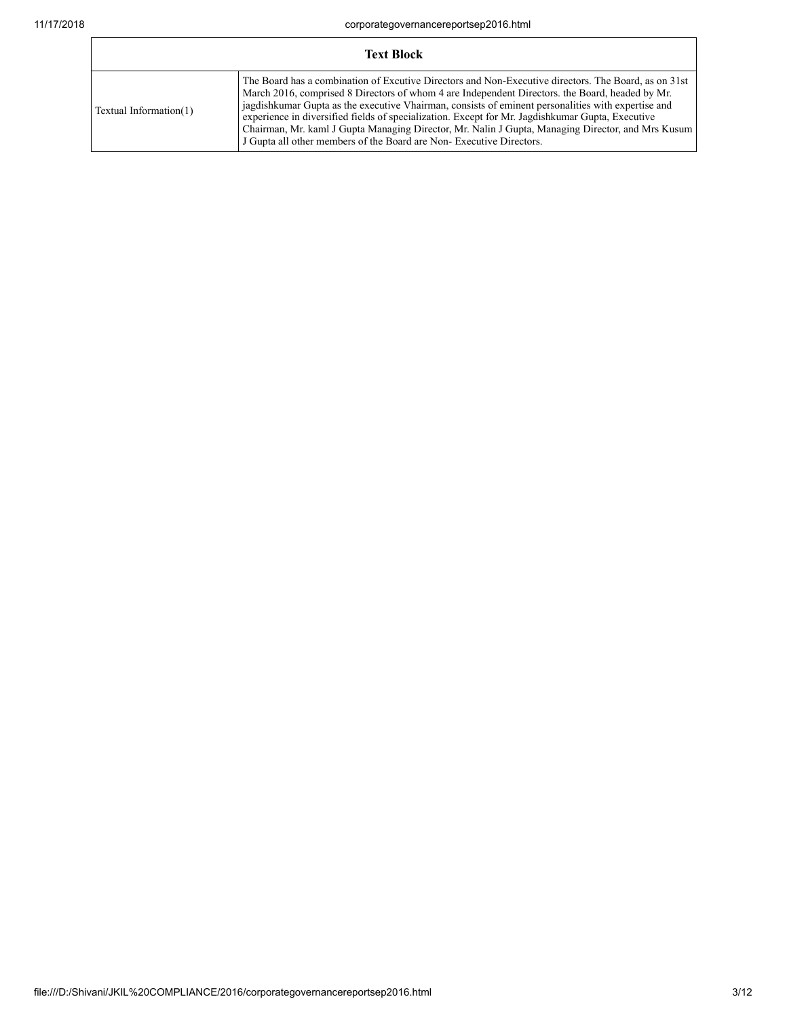Г

| <b>Text Block</b>      |                                                                                                                                                                                                                                                                                                                                                                                                                                                                                                                                                                                               |  |
|------------------------|-----------------------------------------------------------------------------------------------------------------------------------------------------------------------------------------------------------------------------------------------------------------------------------------------------------------------------------------------------------------------------------------------------------------------------------------------------------------------------------------------------------------------------------------------------------------------------------------------|--|
| Textual Information(1) | The Board has a combination of Excutive Directors and Non-Executive directors. The Board, as on 31st<br>March 2016, comprised 8 Directors of whom 4 are Independent Directors. the Board, headed by Mr.<br>jagdishkumar Gupta as the executive Vhairman, consists of eminent personalities with expertise and<br>experience in diversified fields of specialization. Except for Mr. Jagdishkumar Gupta, Executive<br>Chairman, Mr. kaml J Gupta Managing Director, Mr. Nalin J Gupta, Managing Director, and Mrs Kusum<br>J Gupta all other members of the Board are Non-Executive Directors. |  |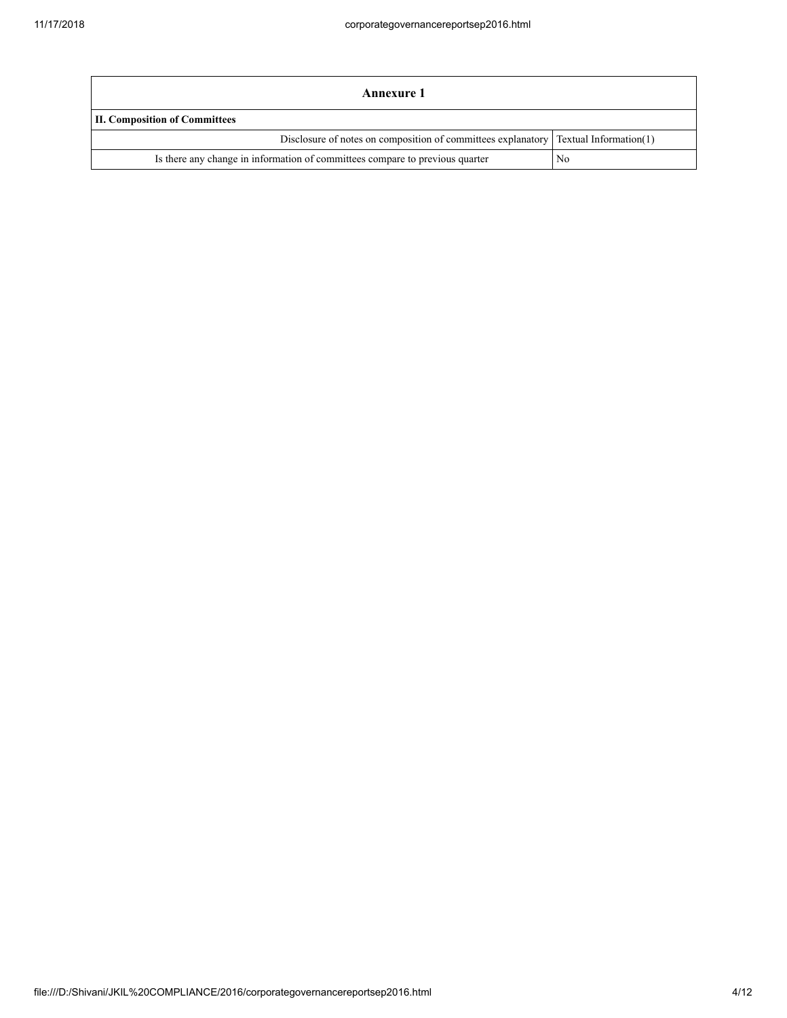| Annexure 1                                                                                   |    |  |
|----------------------------------------------------------------------------------------------|----|--|
| <b>II. Composition of Committees</b>                                                         |    |  |
| Disclosure of notes on composition of committees explanatory $\Gamma$ Textual Information(1) |    |  |
| Is there any change in information of committees compare to previous quarter                 | No |  |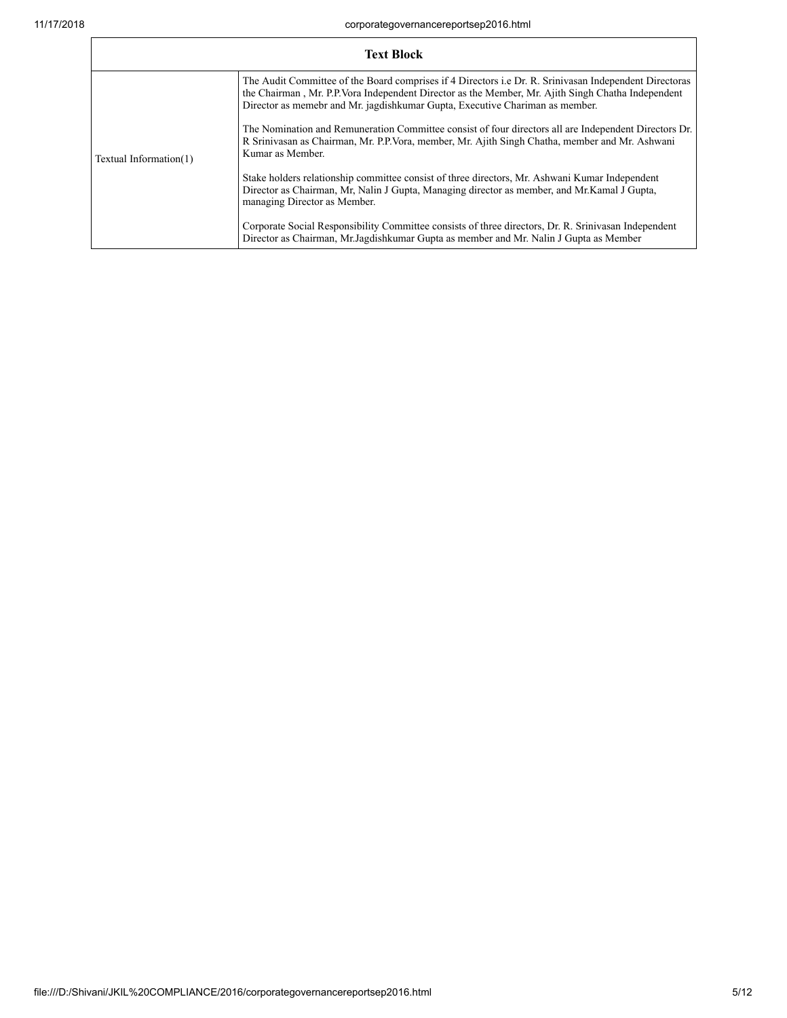**F** 

|                        | <b>Text Block</b>                                                                                                                                                                                                                                                                                    |
|------------------------|------------------------------------------------------------------------------------------------------------------------------------------------------------------------------------------------------------------------------------------------------------------------------------------------------|
|                        | The Audit Committee of the Board comprises if 4 Directors <i>i.e.</i> Dr. R. Srinivasan Independent Directoras<br>the Chairman, Mr. P.P. Vora Independent Director as the Member, Mr. Ajith Singh Chatha Independent<br>Director as memebr and Mr. jagdishkumar Gupta, Executive Chariman as member. |
| Textual Information(1) | The Nomination and Remuneration Committee consist of four directors all are Independent Directors Dr.<br>R Srinivasan as Chairman, Mr. P.P. Vora, member, Mr. Ajith Singh Chatha, member and Mr. Ashwani<br>Kumar as Member.                                                                         |
|                        | Stake holders relationship committee consist of three directors, Mr. Ashwani Kumar Independent<br>Director as Chairman, Mr, Nalin J Gupta, Managing director as member, and Mr.Kamal J Gupta,<br>managing Director as Member.                                                                        |
|                        | Corporate Social Responsibility Committee consists of three directors, Dr. R. Srinivasan Independent<br>Director as Chairman, Mr. Jagdishkumar Gupta as member and Mr. Nalin J Gupta as Member                                                                                                       |

٦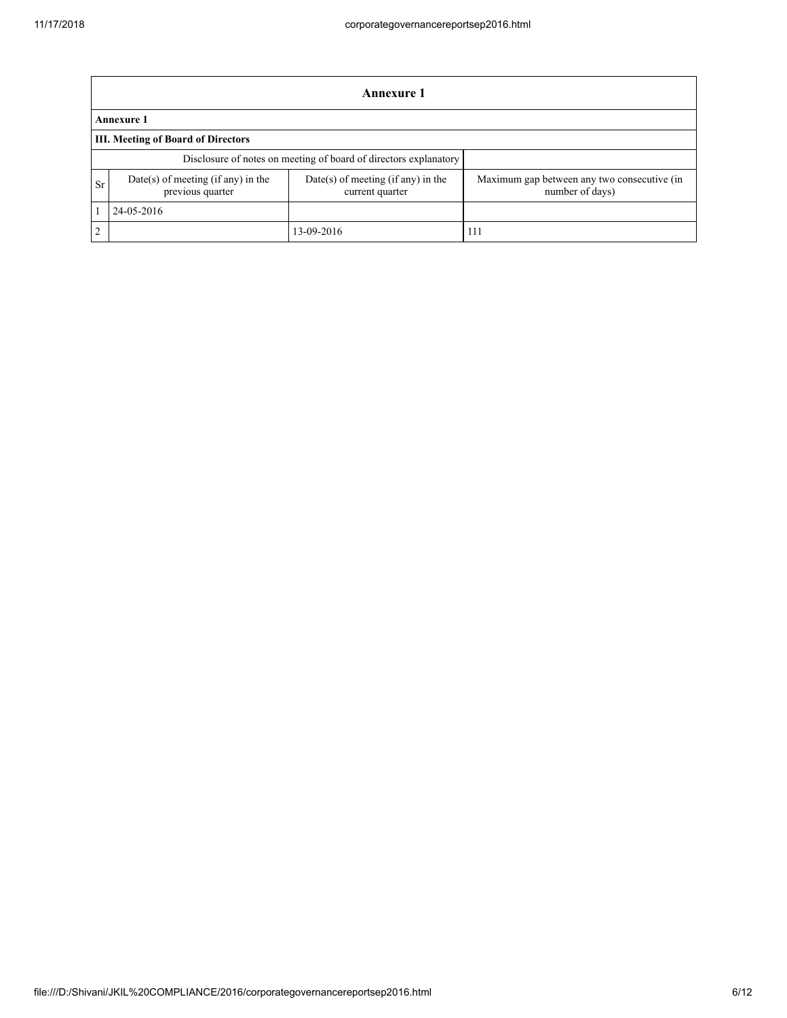|                                                                  | Annexure 1                                               |                                                       |                                                                |  |  |
|------------------------------------------------------------------|----------------------------------------------------------|-------------------------------------------------------|----------------------------------------------------------------|--|--|
|                                                                  | <b>Annexure 1</b>                                        |                                                       |                                                                |  |  |
|                                                                  | <b>III. Meeting of Board of Directors</b>                |                                                       |                                                                |  |  |
| Disclosure of notes on meeting of board of directors explanatory |                                                          |                                                       |                                                                |  |  |
| Sr                                                               | $Date(s)$ of meeting (if any) in the<br>previous quarter | Date(s) of meeting (if any) in the<br>current quarter | Maximum gap between any two consecutive (in<br>number of days) |  |  |
|                                                                  | 24-05-2016                                               |                                                       |                                                                |  |  |
| $\overline{2}$                                                   |                                                          | 13-09-2016                                            | 111                                                            |  |  |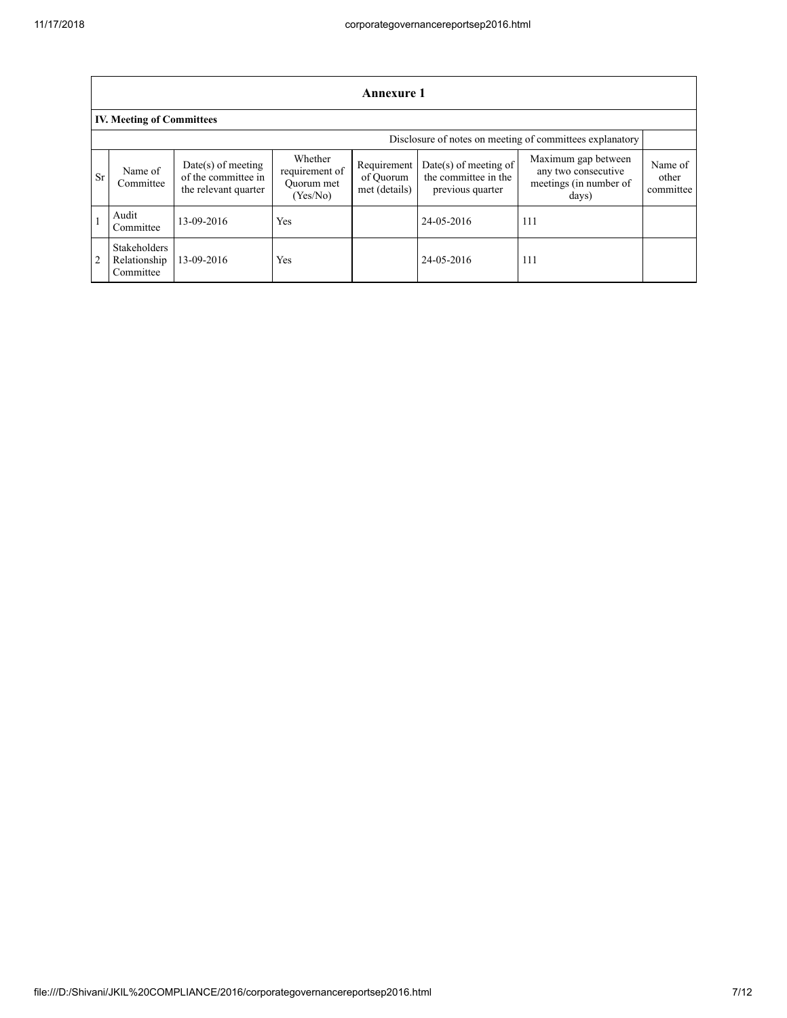|                | <b>Annexure 1</b>                                |                                                                     |                                                     |                                           |                                                                     |                                                                               |                               |
|----------------|--------------------------------------------------|---------------------------------------------------------------------|-----------------------------------------------------|-------------------------------------------|---------------------------------------------------------------------|-------------------------------------------------------------------------------|-------------------------------|
|                | <b>IV. Meeting of Committees</b>                 |                                                                     |                                                     |                                           |                                                                     |                                                                               |                               |
|                |                                                  |                                                                     |                                                     |                                           |                                                                     | Disclosure of notes on meeting of committees explanatory                      |                               |
| <b>Sr</b>      | Name of<br>Committee                             | $Date(s)$ of meeting<br>of the committee in<br>the relevant quarter | Whether<br>requirement of<br>Ouorum met<br>(Yes/No) | Requirement<br>of Ouorum<br>met (details) | $Date(s)$ of meeting of<br>the committee in the<br>previous quarter | Maximum gap between<br>any two consecutive<br>meetings (in number of<br>days) | Name of<br>other<br>committee |
|                | Audit<br>Committee                               | 13-09-2016                                                          | Yes                                                 |                                           | 24-05-2016                                                          | 111                                                                           |                               |
| $\overline{2}$ | <b>Stakeholders</b><br>Relationship<br>Committee | 13-09-2016                                                          | Yes                                                 |                                           | 24-05-2016                                                          | 111                                                                           |                               |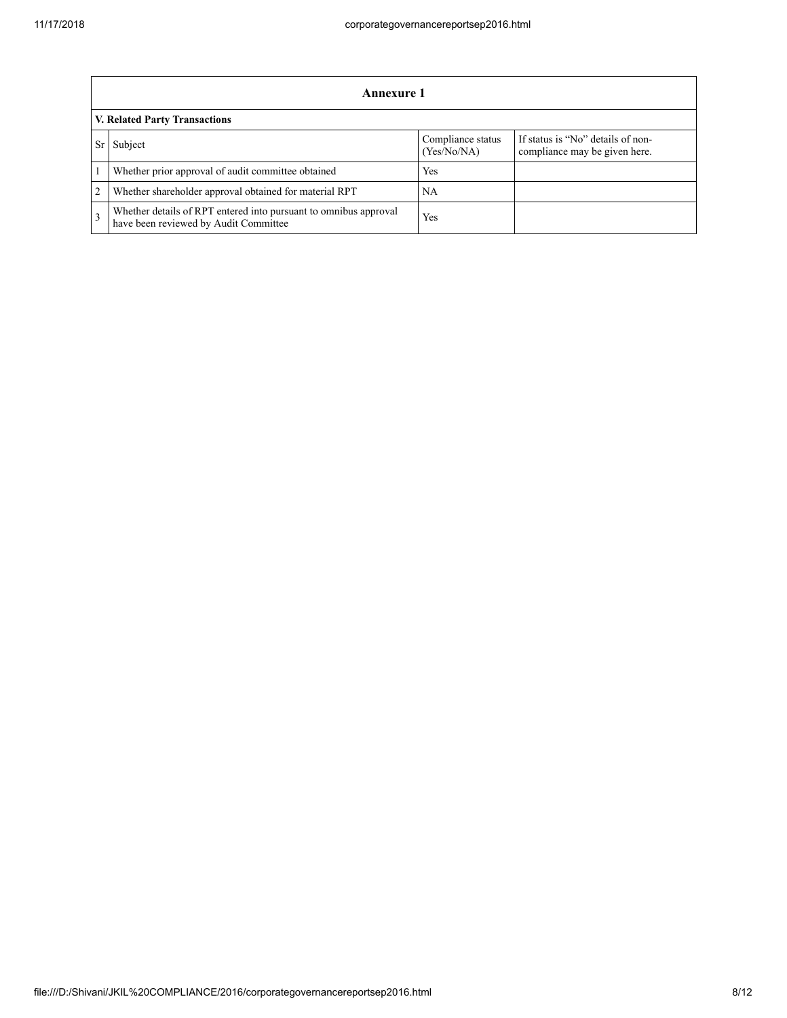|               | Annexure 1                                                                                                |                                  |                                                                    |  |  |
|---------------|-----------------------------------------------------------------------------------------------------------|----------------------------------|--------------------------------------------------------------------|--|--|
|               | V. Related Party Transactions                                                                             |                                  |                                                                    |  |  |
|               | Subject                                                                                                   | Compliance status<br>(Yes/No/NA) | If status is "No" details of non-<br>compliance may be given here. |  |  |
|               | Whether prior approval of audit committee obtained                                                        | Yes                              |                                                                    |  |  |
| 2             | Whether shareholder approval obtained for material RPT                                                    | NA                               |                                                                    |  |  |
| $\mathcal{R}$ | Whether details of RPT entered into pursuant to omnibus approval<br>have been reviewed by Audit Committee | Yes                              |                                                                    |  |  |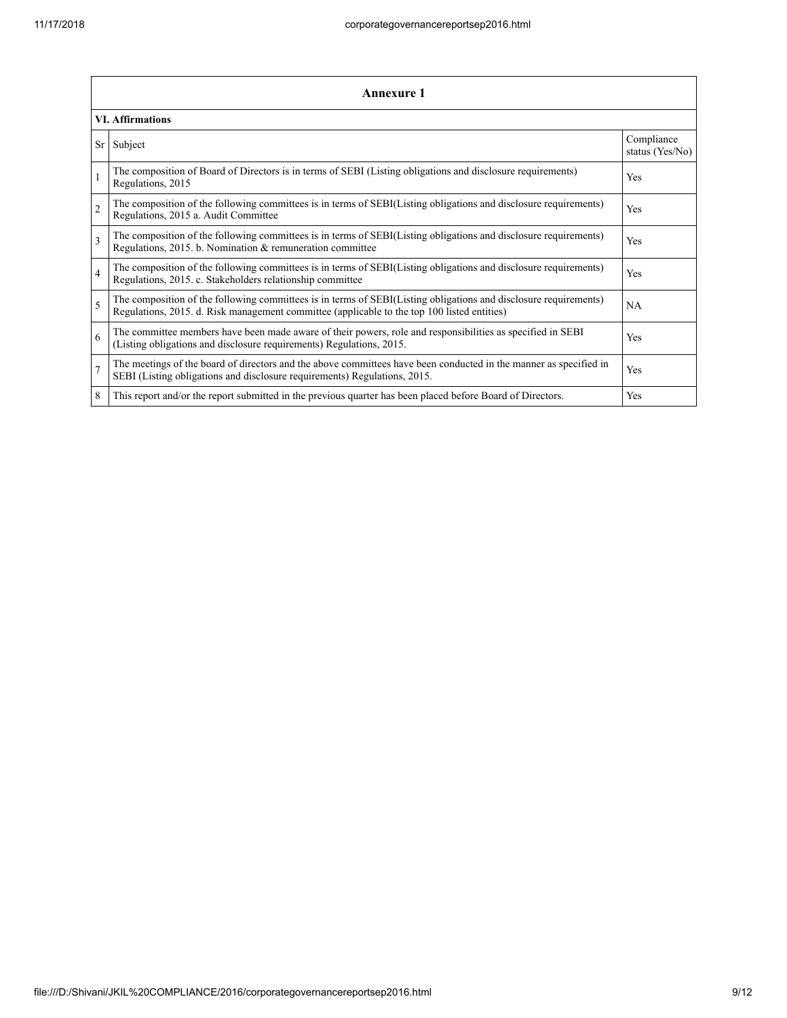|                | <b>Annexure 1</b>                                                                                                                                                                                               |                               |  |  |
|----------------|-----------------------------------------------------------------------------------------------------------------------------------------------------------------------------------------------------------------|-------------------------------|--|--|
|                | <b>VI. Affirmations</b>                                                                                                                                                                                         |                               |  |  |
| Sr             | Subject                                                                                                                                                                                                         | Compliance<br>status (Yes/No) |  |  |
|                | The composition of Board of Directors is in terms of SEBI (Listing obligations and disclosure requirements)<br>Regulations, 2015                                                                                | Yes                           |  |  |
| $\overline{2}$ | The composition of the following committees is in terms of SEBI(Listing obligations and disclosure requirements)<br>Regulations, 2015 a. Audit Committee                                                        | Yes                           |  |  |
| 3              | The composition of the following committees is in terms of SEBI(Listing obligations and disclosure requirements)<br>Regulations, 2015. b. Nomination & remuneration committee                                   | <b>Yes</b>                    |  |  |
| $\overline{4}$ | The composition of the following committees is in terms of SEBI(Listing obligations and disclosure requirements)<br>Regulations, 2015. c. Stakeholders relationship committee                                   | Yes                           |  |  |
| 5              | The composition of the following committees is in terms of SEBI(Listing obligations and disclosure requirements)<br>Regulations, 2015. d. Risk management committee (applicable to the top 100 listed entities) | <b>NA</b>                     |  |  |
| 6              | The committee members have been made aware of their powers, role and responsibilities as specified in SEBI<br>(Listing obligations and disclosure requirements) Regulations, 2015.                              | Yes                           |  |  |
| $\overline{7}$ | The meetings of the board of directors and the above committees have been conducted in the manner as specified in<br>SEBI (Listing obligations and disclosure requirements) Regulations, 2015.                  | Yes                           |  |  |
| 8              | This report and/or the report submitted in the previous quarter has been placed before Board of Directors.                                                                                                      | Yes                           |  |  |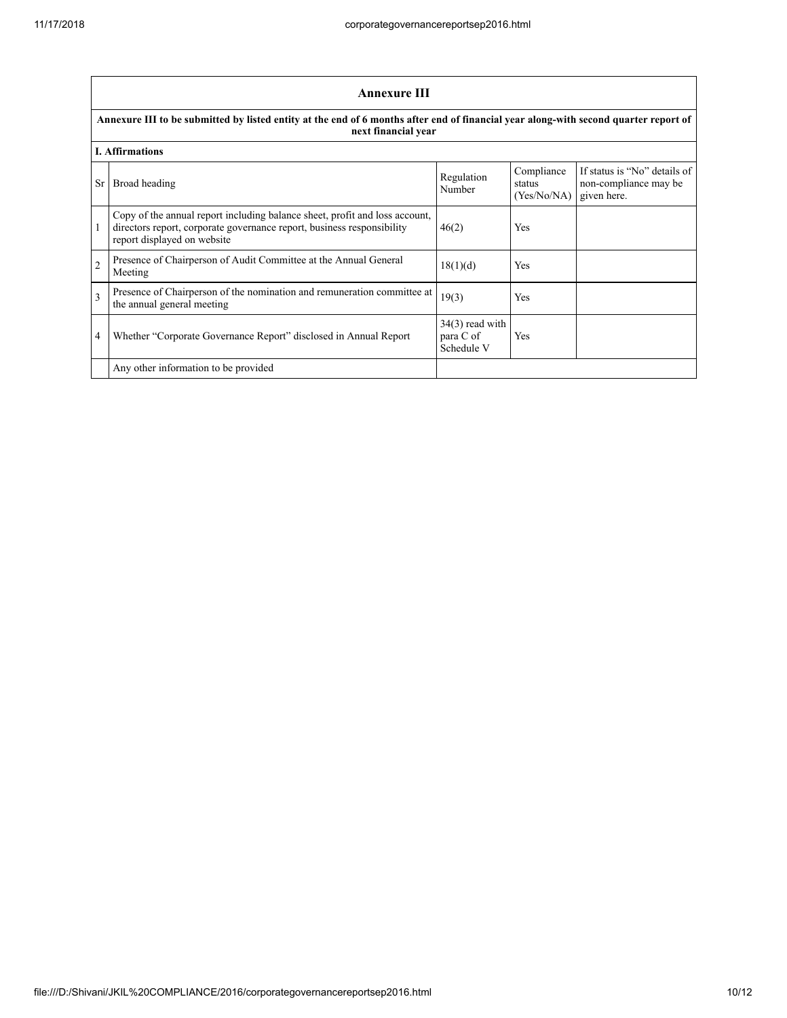|                | <b>Annexure III</b>                                                                                                                                                                  |                                              |                                     |                                                                      |  |
|----------------|--------------------------------------------------------------------------------------------------------------------------------------------------------------------------------------|----------------------------------------------|-------------------------------------|----------------------------------------------------------------------|--|
|                | Annexure III to be submitted by listed entity at the end of 6 months after end of financial year along-with second quarter report of<br>next financial year                          |                                              |                                     |                                                                      |  |
|                | <b>I. Affirmations</b>                                                                                                                                                               |                                              |                                     |                                                                      |  |
| Sr.            | Broad heading                                                                                                                                                                        | Regulation<br>Number                         | Compliance<br>status<br>(Yes/No/NA) | If status is "No" details of<br>non-compliance may be<br>given here. |  |
|                | Copy of the annual report including balance sheet, profit and loss account,<br>directors report, corporate governance report, business responsibility<br>report displayed on website | 46(2)                                        | Yes                                 |                                                                      |  |
| $\overline{2}$ | Presence of Chairperson of Audit Committee at the Annual General<br>Meeting                                                                                                          | 18(1)(d)                                     | Yes                                 |                                                                      |  |
| 3              | Presence of Chairperson of the nomination and remuneration committee at<br>the annual general meeting                                                                                | 19(3)                                        | Yes                                 |                                                                      |  |
| 4              | Whether "Corporate Governance Report" disclosed in Annual Report                                                                                                                     | $34(3)$ read with<br>para C of<br>Schedule V | Yes                                 |                                                                      |  |
|                | Any other information to be provided                                                                                                                                                 |                                              |                                     |                                                                      |  |